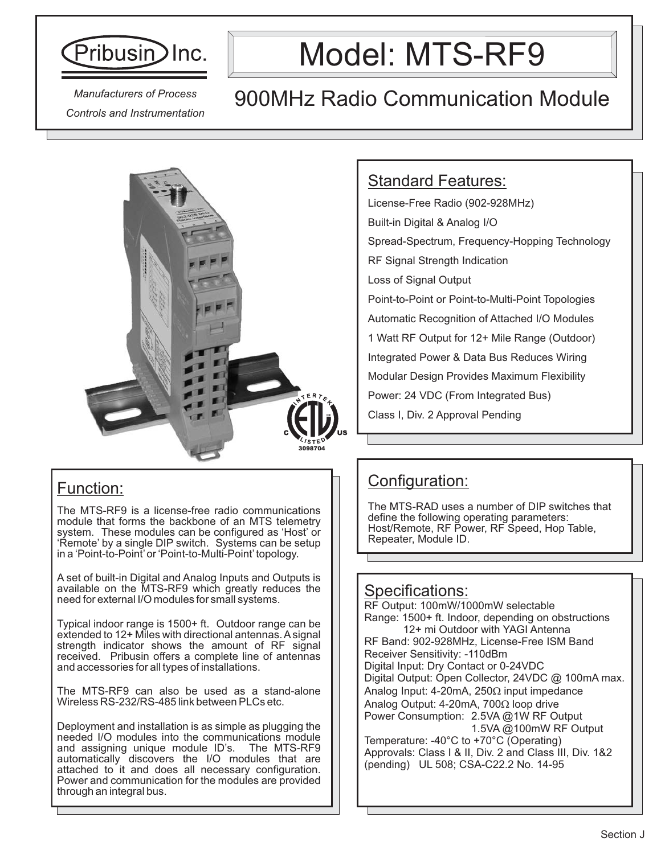

*Controls and Instrumentation*

# Model: MTS-RF9

### 900MHz Radio Communication Module *Manufacturers of Process*



#### Function:

The MTS-RF9 is a license-free radio communications module that forms the backbone of an MTS telemetry system. These modules can be configured as 'Host' or 'Remote' by a single DIP switch. Systems can be setup in a 'Point-to-Point'or 'Point-to-Multi-Point'topology.

A set of built-in Digital and Analog Inputs and Outputs is available on the MTS-RF9 which greatly reduces the need for external I/O modules for small systems.

Typical indoor range is 1500+ ft. Outdoor range can be extended to 12+ Miles with directional antennas. A signal strength indicator shows the amount of RF signal received. Pribusin offers a complete line of antennas and accessories for all types of installations.

The MTS-RF9 can also be used as a stand-alone Wireless RS-232/RS-485 link between PLCs etc.

Deployment and installation is as simple as plugging the needed I/O modules into the communications module and assigning unique module ID's. The MTS-RF9 automatically discovers the I/O modules that are attached to it and does all necessary configuration. Power and communication for the modules are provided through an integral bus.

#### Standard Features:

License-Free Radio (902-928MHz) Built-in Digital & Analog I/O Spread-Spectrum, Frequency-Hopping Technology RF Signal Strength Indication Loss of Signal Output Point-to-Point or Point-to-Multi-Point Topologies Automatic Recognition of Attached I/O Modules 1 Watt RF Output for 12+ Mile Range (Outdoor) Integrated Power & Data Bus Reduces Wiring Modular Design Provides Maximum Flexibility Power: 24 VDC (From Integrated Bus) Class I, Div. 2 Approval Pending

### Configuration:

The MTS-RAD uses a number of DIP switches that define the following operating parameters: Host/Remote, RF Power, RF Speed, Hop Table, Repeater, Module ID.

#### Specifications:

RF Output: 100mW/1000mW selectable Range: 1500+ ft. Indoor, depending on obstructions 12+ mi Outdoor with YAGI Antenna

RF Band: 902-928MHz, License-Free ISM Band Receiver Sensitivity: -110dBm Digital Input: Dry Contact or 0-24VDC Digital Output: Open Collector, 24VDC @ 100mA max. Analog Input: 4-20mA, 250 $\Omega$  input impedance Analog Output: 4-20mA, 700Ω loop drive Power Consumption: 2.5VA @1W RF Output 1.5VA @100mW RF Output

Temperature: -40°C to +70°C (Operating) Approvals: Class I & II, Div. 2 and Class III, Div. 1&2 (pending) UL 508; CSA-C22.2 No. 14-95